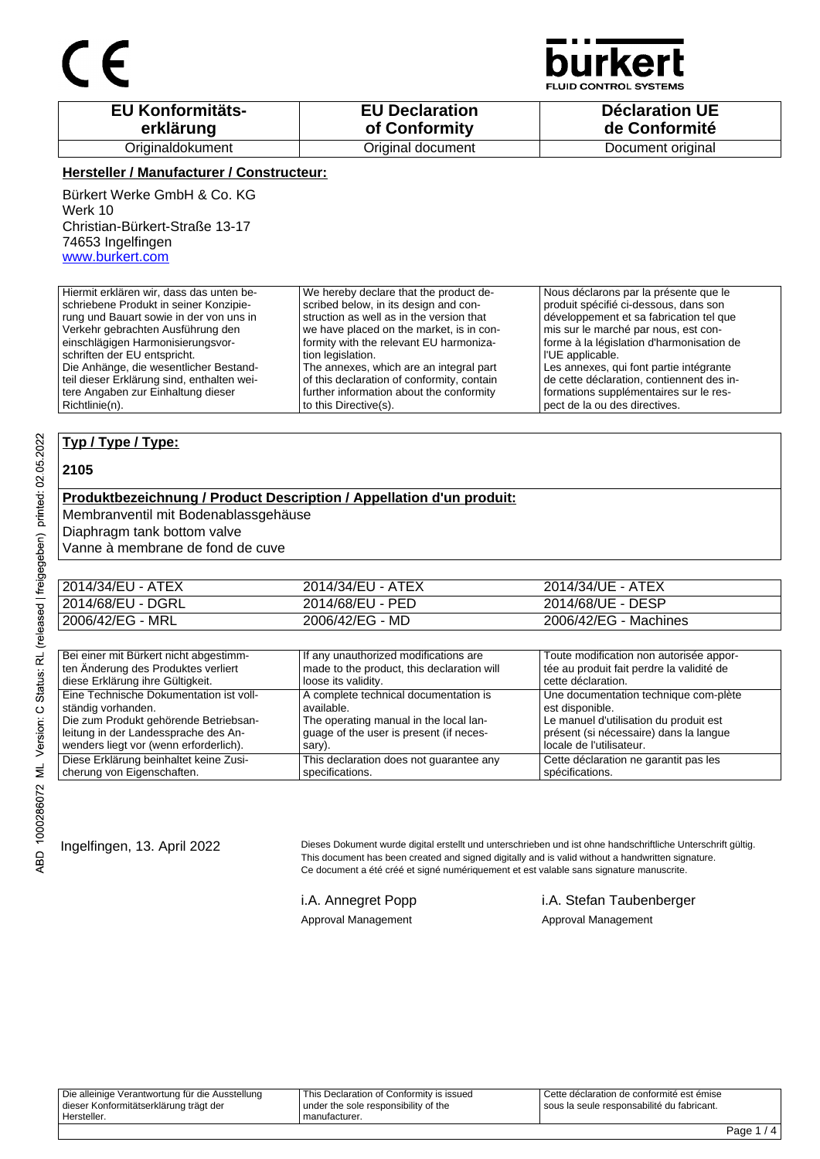

**JID CONTROL SYSTEMS** 

| <b>EU Konformitäts-</b> | <b>EU Declaration</b> | <b>Déclaration UE</b> |
|-------------------------|-----------------------|-----------------------|
| erklärung               | of Conformity         | de Conformité         |
| Originaldokument        | Original document     | Document original     |

### **Hersteller / Manufacturer / Constructeur:**

Bürkert Werke GmbH & Co. KG Werk 10 Christian-Bürkert-Straße 13-17 74653 Ingelfingen www.burkert.com

Hiermit erklären wir, dass das unten beschriebene Produkt in seiner Konzipierung und Bauart sowie in der von uns in Verkehr gebrachten Ausführung den einschlägigen Harmonisierungsvorschriften der EU entspricht. Die Anhänge, die wesentlicher Bestandteil dieser Erklärung sind, enthalten weitere Angaben zur Einhaltung dieser Richtlinie(n). We hereby declare that the product described below, in its design and construction as well as in the version that we have placed on the market, is in conformity with the relevant EU harmonization legislation. The annexes, which are an integral part of this declaration of conformity, contain further information about the conformity to this Directive(s). Nous déclarons par la présente que le produit spécifié ci-dessous, dans son développement et sa fabrication tel que mis sur le marché par nous, est conforme à la législation d'harmonisation de l'UE applicable. Les annexes, qui font partie intégrante de cette déclaration, contiennent des informations supplémentaires sur le respect de la ou des directives.

### **Typ / Type / Type:**

#### **2105**

### **Produktbezeichnung / Product Description / Appellation d'un produit:**

Membranventil mit Bodenablassgehäuse

Diaphragm tank bottom valve

Vanne à membrane de fond de cuve

| 2014/34/EU - ATEX | 2014/34/EU - ATEX | 2014/34/UE - ATEX     |
|-------------------|-------------------|-----------------------|
| 2014/68/EU - DGRL | 2014/68/EU - PED  | 2014/68/UE - DESP     |
| 2006/42/EG - MRL  | 2006/42/EG - MD   | 2006/42/EG - Machines |

| Bei einer mit Bürkert nicht abgestimm-  | If any unauthorized modifications are      | Toute modification non autorisée appor-   |
|-----------------------------------------|--------------------------------------------|-------------------------------------------|
| ten Änderung des Produktes verliert     | made to the product, this declaration will | tée au produit fait perdre la validité de |
| diese Erklärung ihre Gültigkeit.        | loose its validity.                        | cette déclaration.                        |
| Eine Technische Dokumentation ist voll- | A complete technical documentation is      | Une documentation technique com-plète     |
| ständig vorhanden.                      | available.                                 | est disponible.                           |
| Die zum Produkt gehörende Betriebsan-   | The operating manual in the local lan-     | Le manuel d'utilisation du produit est    |
| leitung in der Landessprache des An-    | quage of the user is present (if neces-    | présent (si nécessaire) dans la langue    |
| wenders liegt vor (wenn erforderlich).  | sary).                                     | locale de l'utilisateur.                  |
| Diese Erklärung beinhaltet keine Zusi-  | This declaration does not guarantee any    | Cette déclaration ne garantit pas les     |
| cherung von Eigenschaften.              | specifications.                            | spécifications.                           |

Ingelfingen, 13. April 2022 Dieses Dokument wurde digital erstellt und unterschrieben und ist ohne handschriftliche Unterschrift gültig. This document has been created and signed digitally and is valid without a handwritten signature. Ce document a été créé et signé numériquement et est valable sans signature manuscrite.

Approval Management Approval Management

i.A. Annegret Popp i.A. Stefan Taubenberger

Die alleinige Verantwortung für die Ausstellung dieser Konformitätserklärung trägt der Hersteller. This Declaration of Conformity is issued under the sole responsibility of the manufacturer. Cette déclaration de conformité est émise sous la seule responsabilité du fabricant.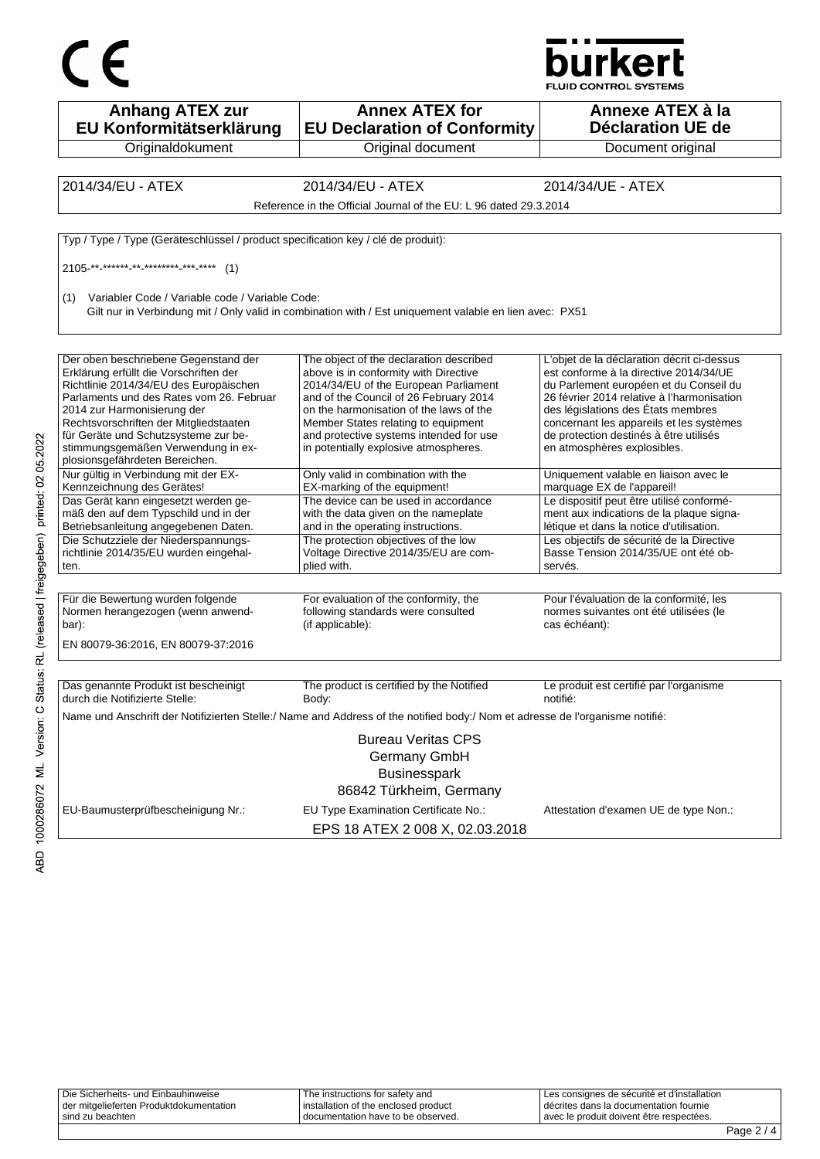



| <b>Anhang ATEX zur</b><br>EU Konformitätserklärung                                | <b>Annex ATEX for</b><br><b>EU Declaration of Conformity</b>                                                                 | Annexe ATEX à la<br><b>Déclaration UE de</b>                                                       |
|-----------------------------------------------------------------------------------|------------------------------------------------------------------------------------------------------------------------------|----------------------------------------------------------------------------------------------------|
| Originaldokument                                                                  | Original document                                                                                                            | Document original                                                                                  |
|                                                                                   |                                                                                                                              |                                                                                                    |
| 2014/34/EU - ATEX                                                                 | 2014/34/EU - ATEX                                                                                                            | 2014/34/UE - ATEX                                                                                  |
|                                                                                   | Reference in the Official Journal of the EU: L 96 dated 29.3.2014                                                            |                                                                                                    |
|                                                                                   |                                                                                                                              |                                                                                                    |
| Typ / Type / Type (Geräteschlüssel / product specification key / clé de produit): |                                                                                                                              |                                                                                                    |
| 2105-**-****** ** ******** *** ****<br>(1)                                        |                                                                                                                              |                                                                                                    |
| Variabler Code / Variable code / Variable Code:<br>(1)                            | Gilt nur in Verbindung mit / Only valid in combination with / Est uniquement valable en lien avec: PX51                      |                                                                                                    |
|                                                                                   |                                                                                                                              |                                                                                                    |
| Der oben beschriebene Gegenstand der<br>Erklärung erfüllt die Vorschriften der    | The object of the declaration described<br>above is in conformity with Directive                                             | L'objet de la déclaration décrit ci-dessus<br>est conforme à la directive 2014/34/UE               |
| Richtlinie 2014/34/EU des Europäischen                                            | 2014/34/EU of the European Parliament                                                                                        | du Parlement européen et du Conseil du                                                             |
| Parlaments und des Rates vom 26. Februar<br>2014 zur Harmonisierung der           | and of the Council of 26 February 2014<br>on the harmonisation of the laws of the                                            | 26 février 2014 relative à l'harmonisation<br>des législations des États membres                   |
| Rechtsvorschriften der Mitgliedstaaten                                            | Member States relating to equipment                                                                                          | concernant les appareils et les systèmes                                                           |
| für Geräte und Schutzsysteme zur be-                                              | and protective systems intended for use                                                                                      | de protection destinés à être utilisés                                                             |
| stimmungsgemäßen Verwendung in ex-<br>plosionsgefährdeten Bereichen.              | in potentially explosive atmospheres.                                                                                        | en atmosphères explosibles.                                                                        |
| Nur gültig in Verbindung mit der EX-<br>Kennzeichnung des Gerätes!                | Only valid in combination with the<br>EX-marking of the equipment!                                                           | Uniquement valable en liaison avec le<br>marquage EX de l'appareil!                                |
| Das Gerät kann eingesetzt werden ge-                                              | The device can be used in accordance                                                                                         | Le dispositif peut être utilisé conformé-                                                          |
| mäß den auf dem Typschild und in der                                              | with the data given on the nameplate                                                                                         | ment aux indications de la plaque signa-                                                           |
| Betriebsanleitung angegebenen Daten.                                              | and in the operating instructions.                                                                                           | létique et dans la notice d'utilisation.                                                           |
| Die Schutzziele der Niederspannungs-<br>richtlinie 2014/35/EU wurden eingehal-    | The protection objectives of the low<br>Voltage Directive 2014/35/EU are com-                                                | Les objectifs de sécurité de la Directive<br>Basse Tension 2014/35/UE ont été ob-                  |
| ten.                                                                              | plied with.                                                                                                                  | servés.                                                                                            |
|                                                                                   |                                                                                                                              |                                                                                                    |
| Für die Bewertung wurden folgende<br>Normen herangezogen (wenn anwend-<br>bar):   | For evaluation of the conformity, the<br>following standards were consulted<br>(if applicable):                              | Pour l'évaluation de la conformité, les<br>normes suivantes ont été utilisées (le<br>cas échéant): |
| EN 80079-36:2016, EN 80079-37:2016                                                |                                                                                                                              |                                                                                                    |
|                                                                                   |                                                                                                                              |                                                                                                    |
| Das genannte Produkt ist bescheinigt<br>durch die Notifizierte Stelle:            | The product is certified by the Notified<br>Body:                                                                            | Le produit est certifié par l'organisme<br>notifié:                                                |
|                                                                                   | Name und Anschrift der Notifizierten Stelle:/ Name and Address of the notified body:/ Nom et adresse de l'organisme notifié: |                                                                                                    |
|                                                                                   | <b>Bureau Veritas CPS</b>                                                                                                    |                                                                                                    |
|                                                                                   | Germany GmbH                                                                                                                 |                                                                                                    |
|                                                                                   | <b>Businesspark</b>                                                                                                          |                                                                                                    |
|                                                                                   | 86842 Türkheim, Germany                                                                                                      |                                                                                                    |
| EU-Baumusterprüfbescheinigung Nr.:                                                | EU Type Examination Certificate No.:                                                                                         | Attestation d'examen UE de type Non.:                                                              |
|                                                                                   | EPS 18 ATEX 2 008 X, 02.03.2018                                                                                              |                                                                                                    |

| Die Sicherheits- und Einbauhinweise<br>der mitgelieferten Produktdokumentation | The instructions for safety and<br>I installation of the enclosed product | I Les consignes de sécurité et d'installation<br>décrites dans la documentation fournie |  |
|--------------------------------------------------------------------------------|---------------------------------------------------------------------------|-----------------------------------------------------------------------------------------|--|
| sind zu beachten                                                               | I documentation have to be observed.                                      | avec le produit doivent être respectées.                                                |  |
|                                                                                |                                                                           |                                                                                         |  |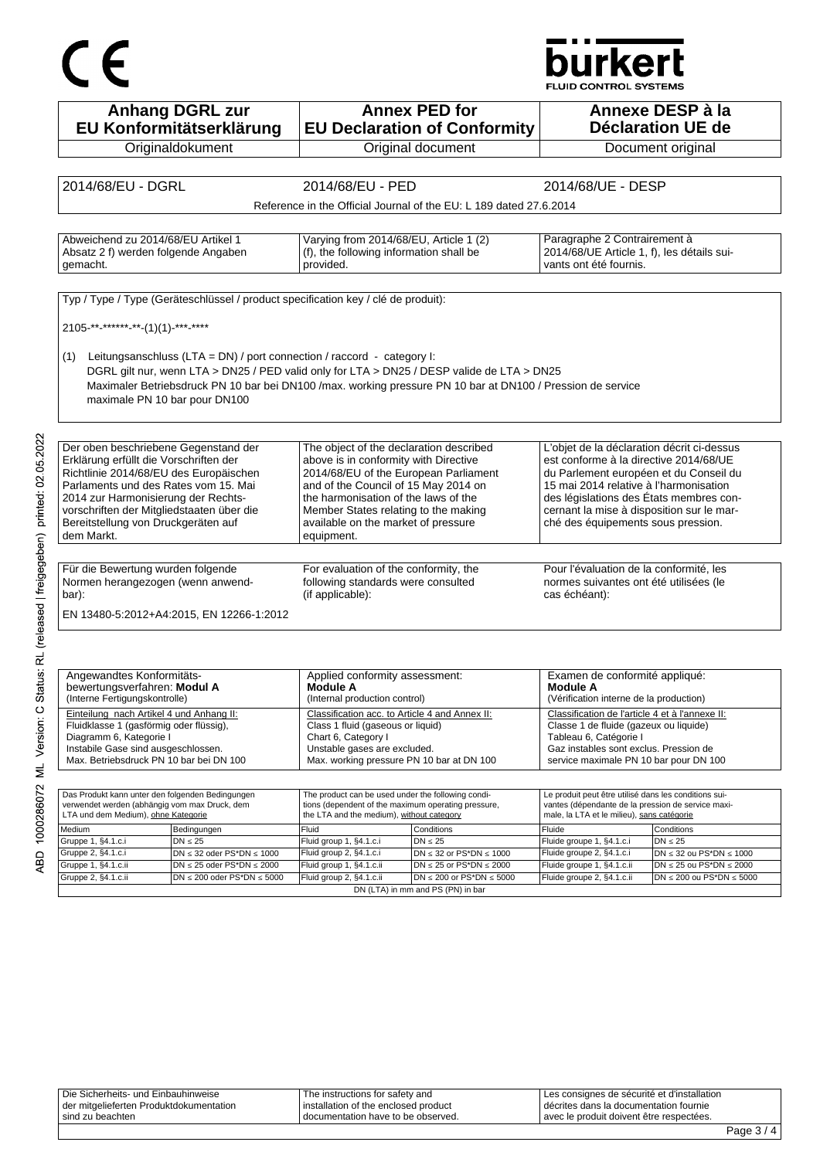# $C<sub>f</sub>$

## **burkert**

FLUID CONTROL SYSTEMS

| <b>Anhang DGRL zur</b><br>EU Konformitätserklärung                                                                                                                                                                                                                                                                         |  |                                                                                                                                                                                                                                                                                                        | <b>Annex PED for</b><br><b>EU Declaration of Conformity</b>            |                                                                                                                                                                                                                                                                                                        | Annexe DESP à la<br><b>Déclaration UE de</b>                         |
|----------------------------------------------------------------------------------------------------------------------------------------------------------------------------------------------------------------------------------------------------------------------------------------------------------------------------|--|--------------------------------------------------------------------------------------------------------------------------------------------------------------------------------------------------------------------------------------------------------------------------------------------------------|------------------------------------------------------------------------|--------------------------------------------------------------------------------------------------------------------------------------------------------------------------------------------------------------------------------------------------------------------------------------------------------|----------------------------------------------------------------------|
| Originaldokument                                                                                                                                                                                                                                                                                                           |  | Original document                                                                                                                                                                                                                                                                                      |                                                                        | Document original                                                                                                                                                                                                                                                                                      |                                                                      |
|                                                                                                                                                                                                                                                                                                                            |  |                                                                                                                                                                                                                                                                                                        |                                                                        |                                                                                                                                                                                                                                                                                                        |                                                                      |
| 2014/68/EU - DGRL                                                                                                                                                                                                                                                                                                          |  | 2014/68/EU - PED                                                                                                                                                                                                                                                                                       |                                                                        | 2014/68/UE - DESP                                                                                                                                                                                                                                                                                      |                                                                      |
|                                                                                                                                                                                                                                                                                                                            |  |                                                                                                                                                                                                                                                                                                        |                                                                        |                                                                                                                                                                                                                                                                                                        |                                                                      |
|                                                                                                                                                                                                                                                                                                                            |  |                                                                                                                                                                                                                                                                                                        | Reference in the Official Journal of the EU: L 189 dated 27.6.2014     |                                                                                                                                                                                                                                                                                                        |                                                                      |
|                                                                                                                                                                                                                                                                                                                            |  |                                                                                                                                                                                                                                                                                                        |                                                                        |                                                                                                                                                                                                                                                                                                        |                                                                      |
| Abweichend zu 2014/68/EU Artikel 1<br>Absatz 2 f) werden folgende Angaben<br>gemacht.                                                                                                                                                                                                                                      |  | Varying from 2014/68/EU, Article 1 (2)<br>(f), the following information shall be<br>provided.                                                                                                                                                                                                         |                                                                        | Paragraphe 2 Contrairement à<br>2014/68/UE Article 1, f), les détails sui-<br>vants ont été fournis.                                                                                                                                                                                                   |                                                                      |
|                                                                                                                                                                                                                                                                                                                            |  |                                                                                                                                                                                                                                                                                                        |                                                                        |                                                                                                                                                                                                                                                                                                        |                                                                      |
| Typ / Type / Type (Geräteschlüssel / product specification key / clé de produit):                                                                                                                                                                                                                                          |  |                                                                                                                                                                                                                                                                                                        |                                                                        |                                                                                                                                                                                                                                                                                                        |                                                                      |
| $2105$ <sup>**</sup> -******* <sub>-</sub> ** <sub>-</sub> (1)(1)-*** <sub>-</sub> ****                                                                                                                                                                                                                                    |  |                                                                                                                                                                                                                                                                                                        |                                                                        |                                                                                                                                                                                                                                                                                                        |                                                                      |
|                                                                                                                                                                                                                                                                                                                            |  |                                                                                                                                                                                                                                                                                                        |                                                                        |                                                                                                                                                                                                                                                                                                        |                                                                      |
| Leitungsanschluss (LTA = DN) / port connection / raccord - category I:<br>(1)<br>DGRL gilt nur, wenn LTA > DN25 / PED valid only for LTA > DN25 / DESP valide de LTA > DN25<br>Maximaler Betriebsdruck PN 10 bar bei DN100/max. working pressure PN 10 bar at DN100 / Pression de service<br>maximale PN 10 bar pour DN100 |  |                                                                                                                                                                                                                                                                                                        |                                                                        |                                                                                                                                                                                                                                                                                                        |                                                                      |
|                                                                                                                                                                                                                                                                                                                            |  |                                                                                                                                                                                                                                                                                                        |                                                                        |                                                                                                                                                                                                                                                                                                        |                                                                      |
| Der oben beschriebene Gegenstand der<br>Erklärung erfüllt die Vorschriften der<br>Richtlinie 2014/68/EU des Europäischen<br>Parlaments und des Rates vom 15. Mai<br>2014 zur Harmonisierung der Rechts-<br>vorschriften der Mitgliedstaaten über die<br>Bereitstellung von Druckgeräten auf<br>dem Markt.                  |  | The object of the declaration described<br>above is in conformity with Directive<br>2014/68/EU of the European Parliament<br>and of the Council of 15 May 2014 on<br>the harmonisation of the laws of the<br>Member States relating to the making<br>available on the market of pressure<br>equipment. |                                                                        | L'objet de la déclaration décrit ci-dessus<br>est conforme à la directive 2014/68/UE<br>du Parlement européen et du Conseil du<br>15 mai 2014 relative à l'harmonisation<br>des législations des États membres con-<br>cernant la mise à disposition sur le mar-<br>ché des équipements sous pression. |                                                                      |
|                                                                                                                                                                                                                                                                                                                            |  |                                                                                                                                                                                                                                                                                                        |                                                                        |                                                                                                                                                                                                                                                                                                        |                                                                      |
| Für die Bewertung wurden folgende<br>Normen herangezogen (wenn anwend-<br>bar):                                                                                                                                                                                                                                            |  | For evaluation of the conformity, the<br>following standards were consulted<br>(if applicable):                                                                                                                                                                                                        |                                                                        | Pour l'évaluation de la conformité, les<br>normes suivantes ont été utilisées (le<br>cas échéant):                                                                                                                                                                                                     |                                                                      |
| EN 13480-5:2012+A4:2015, EN 12266-1:2012                                                                                                                                                                                                                                                                                   |  |                                                                                                                                                                                                                                                                                                        |                                                                        |                                                                                                                                                                                                                                                                                                        |                                                                      |
| Angewandtes Konformitäts-<br>bewertungsverfahren: Modul A<br>(Interne Fertigungskontrolle)                                                                                                                                                                                                                                 |  | Applied conformity assessment:<br>Module A                                                                                                                                                                                                                                                             |                                                                        | Examen de conformité appliqué:<br>Module A<br>(Vérification interne de la production)                                                                                                                                                                                                                  |                                                                      |
| Einteilung nach Artikel 4 und Anhang II:<br>Fluidklasse 1 (gasförmig oder flüssig),<br>Diagramm 6, Kategorie I<br>Instabile Gase sind ausgeschlossen.<br>Max. Betriebsdruck PN 10 bar bei DN 100                                                                                                                           |  | (Internal production control)<br>Classification acc. to Article 4 and Annex II:<br>Class 1 fluid (gaseous or liquid)<br>Chart 6, Category I<br>Unstable gases are excluded.<br>Max. working pressure PN 10 bar at DN 100                                                                               |                                                                        | Classification de l'article 4 et à l'annexe II:<br>Classe 1 de fluide (gazeux ou liquide)<br>Tableau 6, Catégorie I<br>Gaz instables sont exclus. Pression de<br>service maximale PN 10 bar pour DN 100                                                                                                |                                                                      |
|                                                                                                                                                                                                                                                                                                                            |  |                                                                                                                                                                                                                                                                                                        |                                                                        |                                                                                                                                                                                                                                                                                                        |                                                                      |
| Das Produkt kann unter den folgenden Bedingungen<br>verwendet werden (abhängig vom max Druck, dem<br>LTA und dem Medium), ohne Kategorie                                                                                                                                                                                   |  | The product can be used under the following condi-<br>tions (dependent of the maximum operating pressure,<br>the LTA and the medium), without category                                                                                                                                                 |                                                                        | Le produit peut être utilisé dans les conditions sui-<br>vantes (dépendante de la pression de service maxi-<br>male, la LTA et le milieu), sans catégorie                                                                                                                                              |                                                                      |
| Medium<br>Bedingungen                                                                                                                                                                                                                                                                                                      |  | Fluid                                                                                                                                                                                                                                                                                                  | Conditions                                                             | Fluide                                                                                                                                                                                                                                                                                                 | Conditions                                                           |
| Gruppe 1, §4.1.c.i<br>$DN \leq 25$                                                                                                                                                                                                                                                                                         |  | Fluid group 1, §4.1.c.i                                                                                                                                                                                                                                                                                | $DN \leq 25$                                                           | Fluide groupe 1, §4.1.c.i                                                                                                                                                                                                                                                                              | $DN \leq 25$                                                         |
| Gruppe 2, §4.1.c.i<br>$DN \leq 32$ oder PS*DN $\leq 1000$<br>Gruppe 1, §4.1.c.ii<br>$DN \le 25$ oder PS*DN $\le 2000$                                                                                                                                                                                                      |  | Fluid group 2, §4.1.c.i<br>Fluid group 1, §4.1.c.ii                                                                                                                                                                                                                                                    | DN $\leq$ 32 or PS*DN $\leq$ 1000<br>DN $\leq$ 25 or PS*DN $\leq$ 2000 | Fluide groupe 2, §4.1.c.i<br>Fluide groupe 1, §4.1.c.ii                                                                                                                                                                                                                                                | $DN \leq 32$ ou PS*DN $\leq 1000$<br>$DN \le 25$ ou PS*DN $\le 2000$ |
| Gruppe 2, §4.1.c.ii<br>$DN \le 200$ oder PS*DN $\le 5000$                                                                                                                                                                                                                                                                  |  | Fluid group 2, §4.1.c.ii                                                                                                                                                                                                                                                                               | DN $\leq$ 200 or PS*DN $\leq$ 5000                                     | Fluide groupe 2, §4.1.c.ii                                                                                                                                                                                                                                                                             | $DN \le 200$ ou PS*DN $\le 5000$                                     |
|                                                                                                                                                                                                                                                                                                                            |  |                                                                                                                                                                                                                                                                                                        | DN (LTA) in mm and PS (PN) in bar                                      |                                                                                                                                                                                                                                                                                                        |                                                                      |

| Die Sicherheits- und Einbauhinweise     | The instructions for safety and      | Les consignes de sécurité et d'installation |  |
|-----------------------------------------|--------------------------------------|---------------------------------------------|--|
|                                         |                                      |                                             |  |
| der mitgelieferten Produktdokumentation | installation of the enclosed product | I décrites dans la documentation fournie    |  |
| sind zu beachten                        | documentation have to be observed.   | avec le produit doivent être respectées.    |  |
|                                         |                                      |                                             |  |